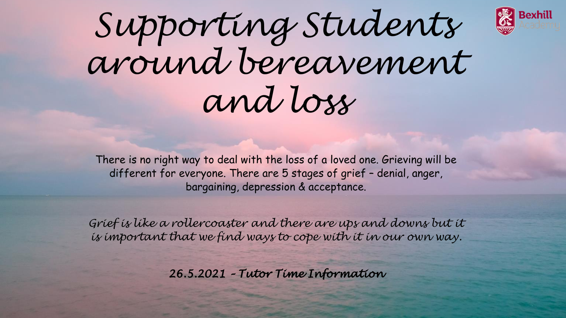

*Supporting Students around bereavement and loss*

There is no right way to deal with the loss of a loved one. Grieving will be different for everyone. There are 5 stages of grief – denial, anger, bargaining, depression & acceptance.

*Grief is like a rollercoaster and there are ups and downs but it is important that we find ways to cope with it in our own way.*

*26.5.2021 – Tutor Time Information*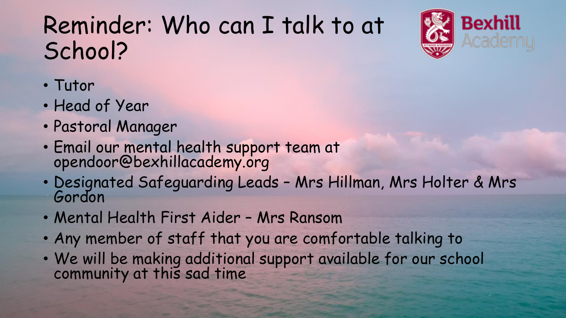## Reminder: Who can I talk to at School?



- Tutor
- Head of Year
- Pastoral Manager
- Email our mental health support team at opendoor@bexhillacademy.org
- Designated Safeguarding Leads Mrs Hillman, Mrs Holter & Mrs Gordon
- Mental Health First Aider Mrs Ransom
- Any member of staff that you are comfortable talking to
- We will be making additional support available for our school community at this sad time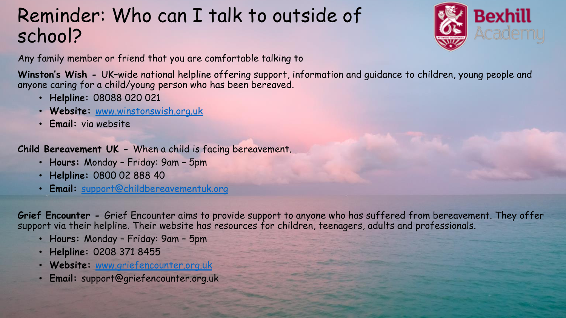## Reminder: Who can I talk to outside of school?



Any family member or friend that you are comfortable talking to

**Winston's Wish -** UK–wide national helpline offering support, information and guidance to children, young people and anyone caring for a child/young person who has been bereaved.

- **Helpline:** 08088 020 021
- **Website:** [www.winstonswish.org.uk](http://www.winstonswish.org.uk/)
- **Email:** via website

**Child Bereavement UK -** When a child is facing bereavement.

- **Hours:** Monday Friday: 9am 5pm
- **Helpline:** 0800 02 888 40
- **Email:** [support@childbereavementuk.org](mailto:support@childbereavementuk.org)

**Grief Encounter -** Grief Encounter aims to provide support to anyone who has suffered from bereavement. They offer support via their helpline. Their website has resources for children, teenagers, adults and professionals.

- **Hours:** Monday Friday: 9am 5pm
- **Helpline:** 0208 371 8455
- **Website:** [www.griefencounter.org.uk](http://www.griefencounter.org.uk/)
- **Email:** support@griefencounter.org.uk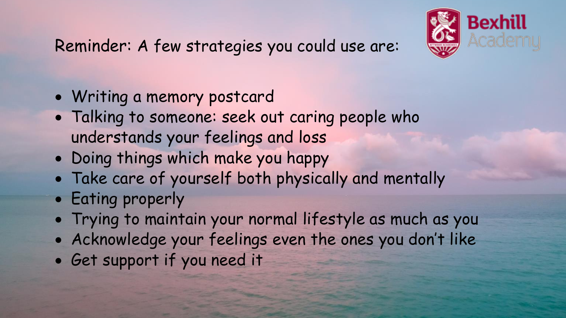

- Writing a memory postcard
- Talking to someone: seek out caring people who understands your feelings and loss
- Doing things which make you happy
- Take care of yourself both physically and mentally
- Eating properly
- Trying to maintain your normal lifestyle as much as you
- Acknowledge your feelings even the ones you don't like
- Get support if you need it